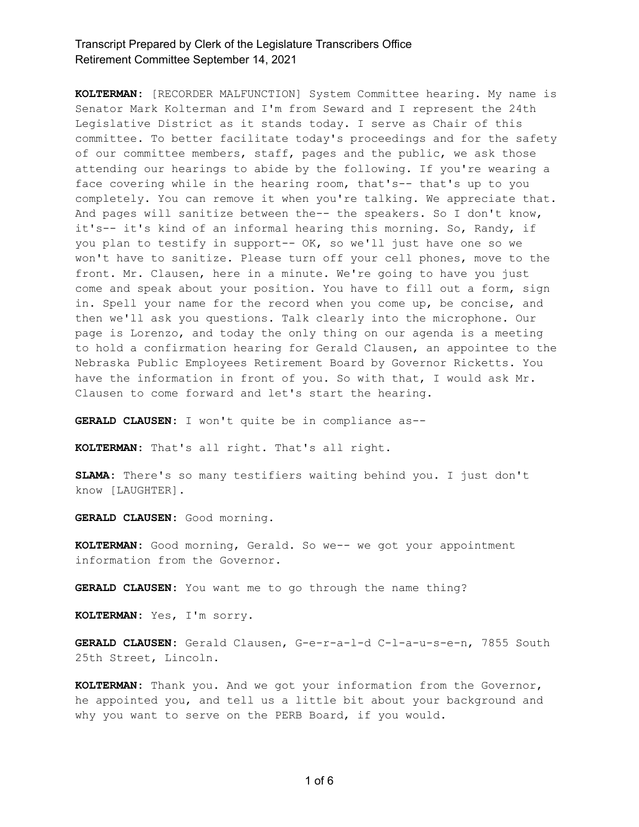**KOLTERMAN:** [RECORDER MALFUNCTION] System Committee hearing. My name is Senator Mark Kolterman and I'm from Seward and I represent the 24th Legislative District as it stands toda\. I serve as Chair of this committee. To better facilitate today's proceedings and for the safety of our committee members, staff, pages and the public, we ask those attending our hearings to abide by the following. If you're wearing a face covering while in the hearing room, that's-- that's up to you completely. You can remove it when you're talking. We appreciate that. And pages will sanitize between the-- the speakers. So I don't know, it's-- it's kind of an informal hearing this morning. So, Randy, if you plan to testify in support-- OK, so we'll just have one so we won't have to sanitize. Please turn off your cell phones, move to the front. Mr. Clausen, here in a minute. We're going to have you just come and speak about your position. You have to fill out a form, sign in. Spell your name for the record when you come up, be concise, and then we'll ask you questions. Talk clearly into the microphone. Our page is Lorenzo, and today the only thing on our agenda is a meeting to hold a confirmation hearing for Gerald Clausen, an appointee to the Nebraska Public Employees Retirement Board by Governor Ricketts. You have the information in front of you. So with that, I would ask Mr. Clausen to come forward and let's start the hearing.

GERALD CLAUSEN: I won't quite be in compliance as--

**KOLTERMAN:** That's all right. That's all right.

SLAMA: There's so many testifiers waiting behind you. I just don't know [LAUGHTER].

**GERALD CLAUSEN:** Good morning.

KOLTERMAN: Good morning, Gerald. So we-- we got your appointment information from the Governor.

**GERALD CLAUSEN:** You want me to go through the name thing?

**KOLTERMAN:** Yes, I'm sorr\.

GERALD CLAUSEN: Gerald Clausen, G-e-r-a-l-d C-l-a-u-s-e-n, 7855 South 25th Street, Lincoln.

KOLTERMAN: Thank you. And we got your information from the Governor, he appointed you, and tell us a little bit about your background and why you want to serve on the PERB Board, if you would.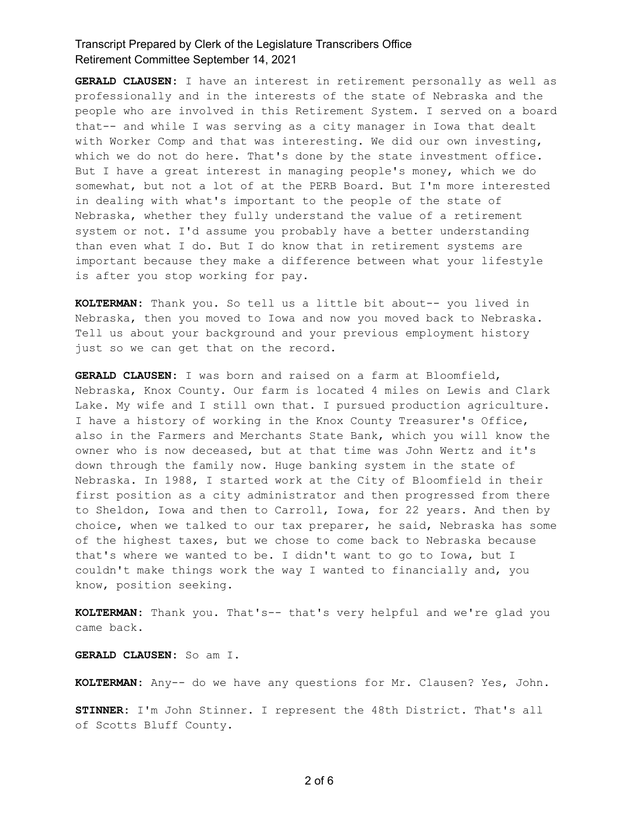**GERALD CLAUSEN:** I have an interest in retirement personally as well as professionally and in the interests of the state of Nebraska and the people who are involved in this Retirement System. I served on a board that-- and while I was serving as a city manager in Iowa that dealt with Worker Comp and that was interesting. We did our own investing, which we do not do here. That's done by the state investment office. But I have a great interest in managing people's money, which we do somewhat, but not a lot of at the PERB Board. But I'm more interested in dealing with what's important to the people of the state of Nebraska, whether they fully understand the value of a retirement system or not. I'd assume you probably have a better understanding than even what I do. But I do know that in retirement systems are important because they make a difference between what your lifestyle is after you stop working for pay.

**KOLTERMAN:** Thank you. So tell us a little bit about-- you lived in Nebraska, then you moved to Iowa and now you moved back to Nebraska. Tell us about your background and your previous employment history just so we can get that on the record.

GERALD CLAUSEN: I was born and raised on a farm at Bloomfield, Nebraska, Knox County. Our farm is located 4 miles on Lewis and Clark Lake. My wife and I still own that. I pursued production agriculture. I have a history of working in the Knox County Treasurer's Office, also in the Farmers and Merchants State Bank, which you will know the owner who is now deceased, but at that time was John Wertz and it's down through the family now. Huge banking system in the state of Nebraska. In 1988, I started work at the City of Bloomfield in their first position as a city administrator and then progressed from there to Sheldon, Iowa and then to Carroll, Iowa, for 22 years. And then by choice, when we talked to our tax preparer, he said, Nebraska has some of the highest taxes, but we chose to come back to Nebraska because that's where we wanted to be. I didn't want to go to Iowa, but I couldn't make things work the way I wanted to financially and, you know, position seeking.

KOLTERMAN: Thank you. That's-- that's very helpful and we're glad you came back.

**GERALD CLAUSEN:** So am I.

KOLTERMAN: Any-- do we have any questions for Mr. Clausen? Yes, John.

**STINNER:** I'm John Stinner. I represent the 48th District. That's all of Scotts Bluff County.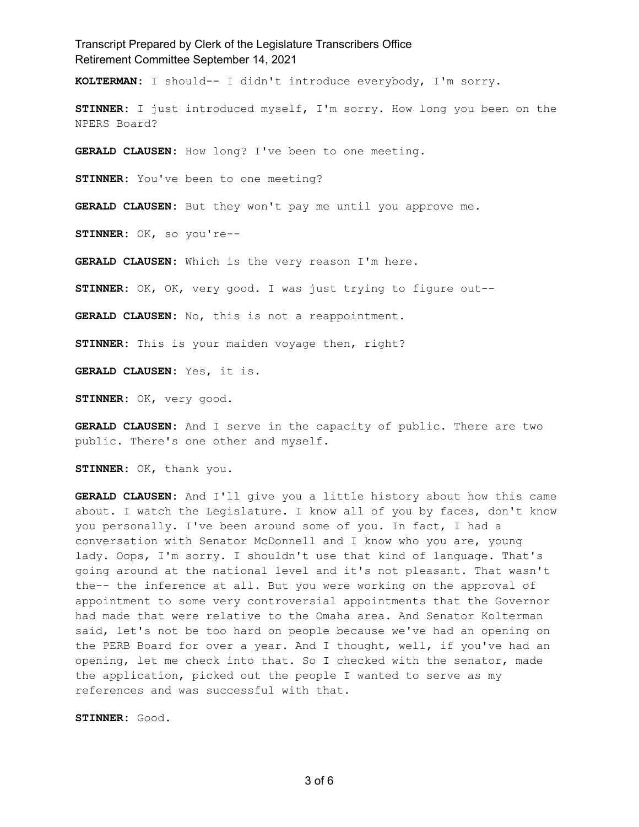Transcript Prepared by Clerk of the Legislature Transcribers Office Retirement Committee September 14, 2021 KOLTERMAN: I should-- I didn't introduce everybody, I'm sorry. **STINNER:** I just introduced myself, I'm sorry. How long you been on the NPERS Board? GERALD CLAUSEN: How long? I've been to one meeting. **STINNER:** You've been to one meeting? GERALD CLAUSEN: But they won't pay me until you approve me. STINNER: OK, so you're--GERALD CLAUSEN: Which is the very reason I'm here. STINNER: OK, OK, very good. I was just trying to figure out--**GERALD CLAUSEN:** No, this is not a reappointment. **STINNER:** This is your maiden voyage then, right? **GERALD CLAUSEN:** Yes, it is. STINNER: OK, very good. **GERALD CLAUSEN:** And I serve in the capacity of public. There are two

public. There's one other and myself.

STINNER: OK, thank you.

GERALD CLAUSEN: And I'll give you a little history about how this came about. I watch the Legislature. I know all of you by faces, don't know you personally. I've been around some of you. In fact, I had a conversation with Senator McDonnell and I know who you are, young lady. Oops, I'm sorry. I shouldn't use that kind of language. That's going around at the national level and it's not pleasant. That wasn't the-- the inference at all. But you were working on the approval of appointment to some very controversial appointments that the Governor had made that were relative to the Omaha area. And Senator Kolterman said, let's not be too hard on people because we've had an opening on the PERB Board for over a year. And I thought, well, if you've had an opening, let me check into that. So I checked with the senator, made the application, picked out the people I wanted to serve as my references and was successful with that.

**STINNER:** Good.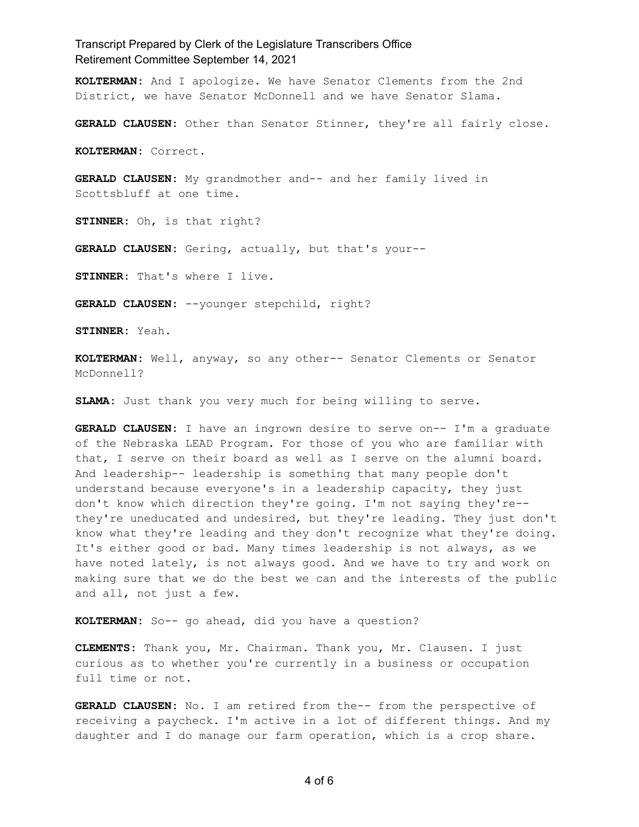KOLTERMAN: And I apologize. We have Senator Clements from the 2nd District, we have Senator McDonnell and we have Senator Slama.

**GERALD CLAUSEN:** Other than Senator Stinner, they're all fairly close.

**KOLTERMAN:** Correct.

GERALD CLAUSEN: My grandmother and-- and her family lived in Scottsbluff at one time.

**STINNER:** Oh, is that right?

GERALD CLAUSEN: Gering, actually, but that's your--

**STINNER:** That's where I live.

GERALD CLAUSEN: --younger stepchild, right?

**STINNER:** Yeah.

KOLTERMAN: Well, anyway, so any other-- Senator Clements or Senator McDonnell?

SLAMA: Just thank you very much for being willing to serve.

GERALD CLAUSEN: I have an ingrown desire to serve on-- I'm a graduate of the Nebraska LEAD Program. For those of you who are familiar with that, I serve on their board as well as I serve on the alumni board. And leadership-- leadership is something that many people don't understand because everyone's in a leadership capacity, they just don't know which direction they're going. I'm not saying they're-they're uneducated and undesired, but they're leading. They just don't know what they're leading and they don't recognize what they're doing. It's either good or bad. Many times leadership is not always, as we have noted lately, is not always good. And we have to try and work on making sure that we do the best we can and the interests of the public and all, not just a few.

KOLTERMAN: So-- go ahead, did you have a question?

CLEMENTS: Thank you, Mr. Chairman. Thank you, Mr. Clausen. I just curious as to whether you're currently in a business or occupation full time or not.

GERALD CLAUSEN: No. I am retired from the-- from the perspective of receiving a paycheck. I'm active in a lot of different things. And my daughter and I do manage our farm operation, which is a crop share.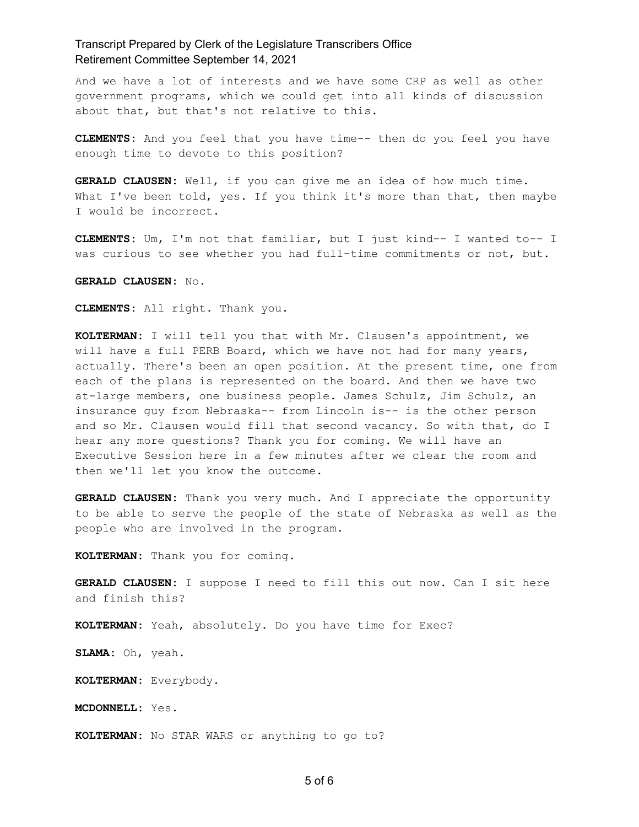And we have a lot of interests and we have some CRP as well as other government programs, which we could get into all kinds of discussion about that, but that's not relative to this.

CLEMENTS: And you feel that you have time-- then do you feel you have enough time to devote to this position?

GERALD CLAUSEN: Well, if you can give me an idea of how much time. What I've been told, yes. If you think it's more than that, then maybe I would be incorrect.

**CLEMENTS:** Um, I'm not that familiar, but I just kind-- I wanted to-- I was curious to see whether you had full-time commitments or not, but.

**GERALD CLA8SEN:** No.

CLEMENTS: All right. Thank you.

KOLTERMAN: I will tell you that with Mr. Clausen's appointment, we will have a full PERB Board, which we have not had for many years, actually. There's been an open position. At the present time, one from each of the plans is represented on the board. And then we have two at-large members, one business people. James Schulz, Jim Schulz, an insurance guy from Nebraska-- from Lincoln is-- is the other person and so Mr. Clausen would fill that second vacancy. So with that, do I hear any more questions? Thank you for coming. We will have an Executive Session here in a few minutes after we clear the room and then we'll let you know the outcome.

GERALD CLAUSEN: Thank you very much. And I appreciate the opportunity to be able to serve the people of the state of Nebraska as well as the people who are involved in the program.

KOLTERMAN: Thank you for coming.

**GERALD CLAUSEN:** I suppose I need to fill this out now. Can I sit here and finish this?

KOLTERMAN: Yeah, absolutely. Do you have time for Exec?

SLAMA: Oh, yeah.

KOLTERMAN: Everybody.

**MCDONNELL:** Yes.

KOLTERMAN: No STAR WARS or anything to go to?